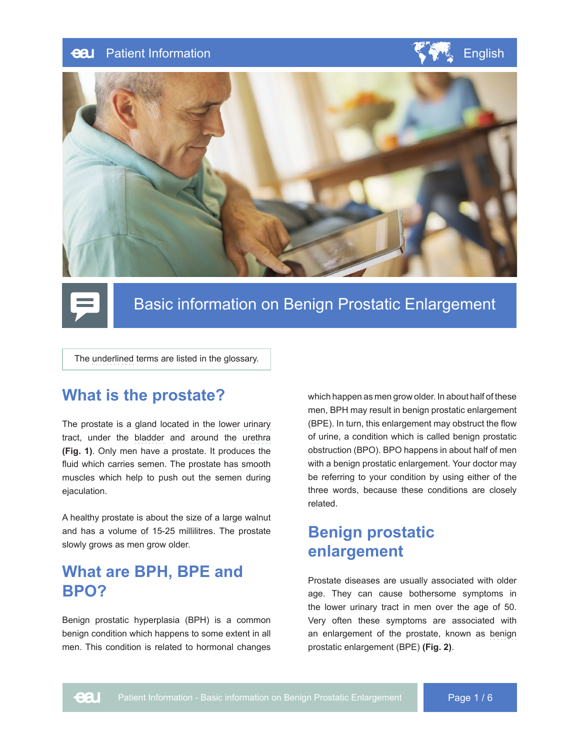#### Patient Information English English eal







# Basic information on Benign Prostatic Enlargement

The underlined terms are listed in the glossary.

### **What is the prostate?**

The prostate is a gland located in the lower urinary tract, under the bladder and around the urethra **(Fig. 1)**. Only men have a prostate. It produces the fluid which carries semen. The prostate has smooth muscles which help to push out the semen during ejaculation.

A healthy prostate is about the size of a large walnut and has a volume of 15-25 millilitres. The prostate slowly grows as men grow older.

### **What are BPH, BPE and BPO?**

Benign prostatic hyperplasia (BPH) is a common benign condition which happens to some extent in all men. This condition is related to hormonal changes

which happen as men grow older. In about half of these men, BPH may result in benign prostatic enlargement (BPE). In turn, this enlargement may obstruct the flow of urine, a condition which is called benign prostatic obstruction (BPO). BPO happens in about half of men with a benign prostatic enlargement. Your doctor may be referring to your condition by using either of the three words, because these conditions are closely related.

# **Benign prostatic enlargement**

Prostate diseases are usually associated with older age. They can cause bothersome symptoms in the lower urinary tract in men over the age of 50. Very often these symptoms are associated with an enlargement of the prostate, known as benign prostatic enlargement (BPE) **(Fig. 2)**.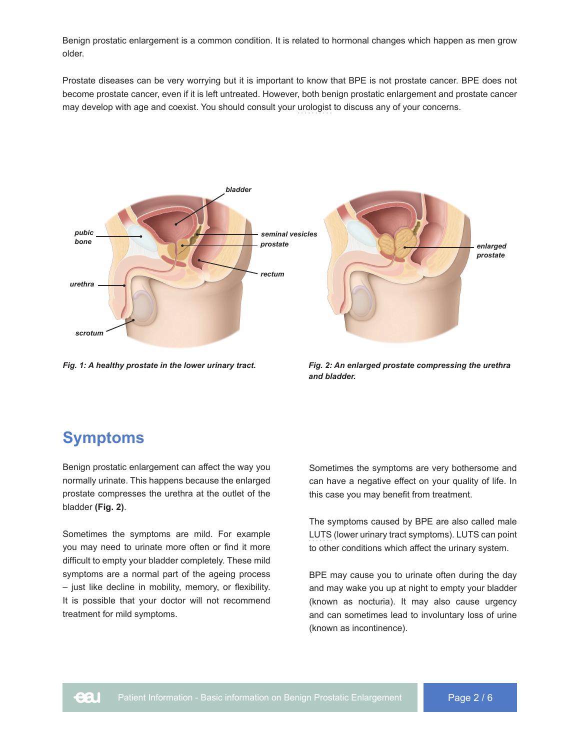Benign prostatic enlargement is a common condition. It is related to hormonal changes which happen as men grow older.

Prostate diseases can be very worrying but it is important to know that BPE is not prostate cancer. BPE does not become prostate cancer, even if it is left untreated. However, both benign prostatic enlargement and prostate cancer may develop with age and coexist. You should consult your urologist to discuss any of your concerns.



*Fig. 1: A healthy prostate in the lower urinary tract.*

*Fig. 2: An enlarged prostate compressing the urethra and bladder.*

## **Symptoms**

Benign prostatic enlargement can affect the way you normally urinate. This happens because the enlarged prostate compresses the urethra at the outlet of the bladder **(Fig. 2)**.

Sometimes the symptoms are mild. For example you may need to urinate more often or find it more difficult to empty your bladder completely. These mild symptoms are a normal part of the ageing process  $-$  just like decline in mobility, memory, or flexibility. It is possible that your doctor will not recommend treatment for mild symptoms.

Sometimes the symptoms are very bothersome and can have a negative effect on your quality of life. In this case you may benefit from treatment.

The symptoms caused by BPE are also called male LUTS (lower urinary tract symptoms). LUTS can point to other conditions which affect the urinary system.

BPE may cause you to urinate often during the day and may wake you up at night to empty your bladder (known as nocturia). It may also cause urgency and can sometimes lead to involuntary loss of urine (known as incontinence).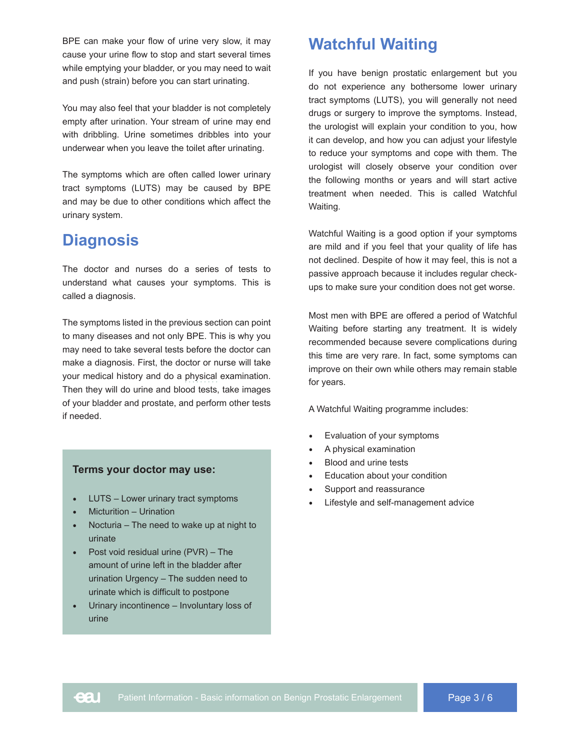BPE can make your flow of urine very slow, it may cause your urine flow to stop and start several times while emptying your bladder, or you may need to wait and push (strain) before you can start urinating.

You may also feel that your bladder is not completely empty after urination. Your stream of urine may end with dribbling. Urine sometimes dribbles into your underwear when you leave the toilet after urinating.

The symptoms which are often called lower urinary tract symptoms (LUTS) may be caused by BPE and may be due to other conditions which affect the urinary system.

### **Diagnosis**

The doctor and nurses do a series of tests to understand what causes your symptoms. This is called a diagnosis.

The symptoms listed in the previous section can point to many diseases and not only BPE. This is why you may need to take several tests before the doctor can make a diagnosis. First, the doctor or nurse will take your medical history and do a physical examination. Then they will do urine and blood tests, take images of your bladder and prostate, and perform other tests if needed.

### **Terms your doctor may use:**

- LUTS Lower urinary tract symptoms
- Micturition Urination
- $\bullet$  Nocturia The need to wake up at night to urinate
- Post void residual urine  $(PVR)$  The amount of urine left in the bladder after urination Urgency – The sudden need to urinate which is difficult to postpone
- $\bullet$  Urinary incontinence Involuntary loss of urine

### **Watchful Waiting**

If you have benign prostatic enlargement but you do not experience any bothersome lower urinary tract symptoms (LUTS), you will generally not need drugs or surgery to improve the symptoms. Instead, the urologist will explain your condition to you, how it can develop, and how you can adjust your lifestyle to reduce your symptoms and cope with them. The urologist will closely observe your condition over the following months or years and will start active treatment when needed. This is called Watchful Waiting.

Watchful Waiting is a good option if your symptoms are mild and if you feel that your quality of life has not declined. Despite of how it may feel, this is not a passive approach because it includes regular checkups to make sure your condition does not get worse.

Most men with BPE are offered a period of Watchful Waiting before starting any treatment. It is widely recommended because severe complications during this time are very rare. In fact, some symptoms can improve on their own while others may remain stable for years.

A Watchful Waiting programme includes:

- Evaluation of your symptoms
- A physical examination
- Blood and urine tests
- Education about your condition
- Support and reassurance
- Lifestyle and self-management advice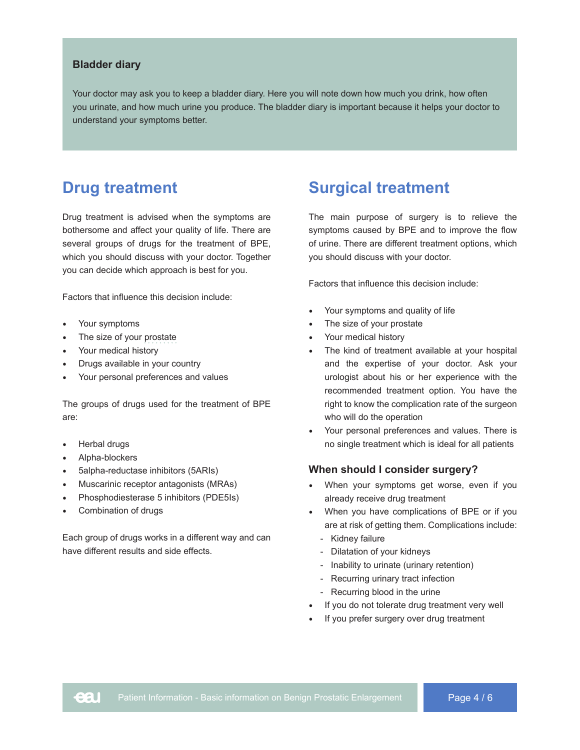#### **Bladder diary**

Your doctor may ask you to keep a bladder diary. Here you will note down how much you drink, how often you urinate, and how much urine you produce. The bladder diary is important because it helps your doctor to understand your symptoms better.

### **Drug treatment**

Drug treatment is advised when the symptoms are bothersome and affect your quality of life. There are several groups of drugs for the treatment of BPE, which you should discuss with your doctor. Together you can decide which approach is best for you.

Factors that influence this decision include:

- Your symptoms
- The size of your prostate
- Your medical history
- Drugs available in your country
- Your personal preferences and values

The groups of drugs used for the treatment of BPE are:

- Herbal drugs
- Alpha-blockers
- 5alpha-reductase inhibitors (5ARIs)
- Muscarinic receptor antagonists (MRAs)
- Phosphodiesterase 5 inhibitors (PDE5Is)
- Combination of drugs

Each group of drugs works in a different way and can have different results and side effects.

### **Surgical treatment**

The main purpose of surgery is to relieve the symptoms caused by BPE and to improve the flow of urine. There are different treatment options, which you should discuss with your doctor.

Factors that influence this decision include:

- Your symptoms and quality of life
- The size of your prostate
- Your medical history
- The kind of treatment available at your hospital and the expertise of your doctor. Ask your urologist about his or her experience with the recommended treatment option. You have the right to know the complication rate of the surgeon who will do the operation
- Your personal preferences and values. There is no single treatment which is ideal for all patients

#### **When should I consider surgery?**

- When your symptoms get worse, even if you already receive drug treatment
- When you have complications of BPE or if you are at risk of getting them. Complications include:
	- Kidney failure
	- Dilatation of your kidneys
	- Inability to urinate (urinary retention)
	- Recurring urinary tract infection
	- Recurring blood in the urine
- If you do not tolerate drug treatment very well
- If you prefer surgery over drug treatment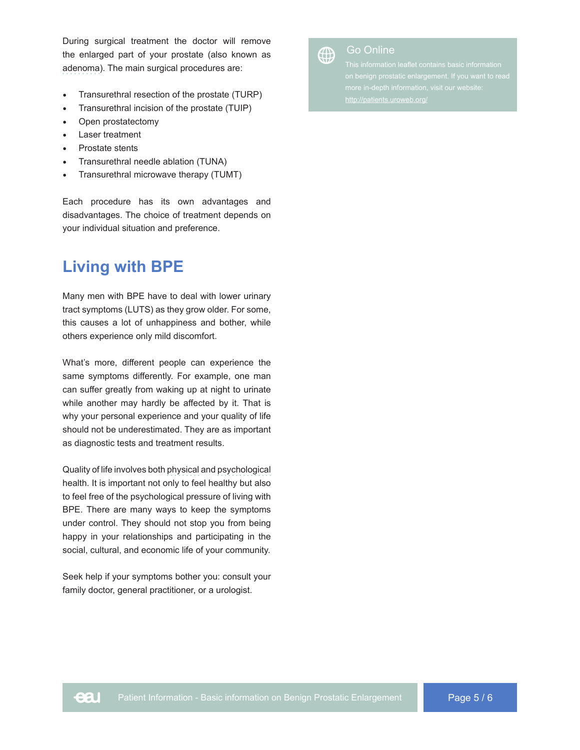During surgical treatment the doctor will remove the enlarged part of your prostate (also known as adenoma). The main surgical procedures are:

- Transurethral resection of the prostate (TURP)
- Transurethral incision of the prostate (TUIP)
- Open prostatectomy
- Laser treatment
- Prostate stents
- Transurethral needle ablation (TUNA)
- Transurethral microwave therapy (TUMT)

Each procedure has its own advantages and disadvantages. The choice of treatment depends on your individual situation and preference.

### **Living with BPE**

Many men with BPE have to deal with lower urinary tract symptoms (LUTS) as they grow older. For some, this causes a lot of unhappiness and bother, while others experience only mild discomfort.

What's more, different people can experience the same symptoms differently. For example, one man can suffer greatly from waking up at night to urinate while another may hardly be affected by it. That is why your personal experience and your quality of life should not be underestimated. They are as important as diagnostic tests and treatment results.

Quality of life involves both physical and psychological health. It is important not only to feel healthy but also to feel free of the psychological pressure of living with BPE. There are many ways to keep the symptoms under control. They should not stop you from being happy in your relationships and participating in the social, cultural, and economic life of your community.

Seek help if your symptoms bother you: consult your family doctor, general practitioner, or a urologist.



# $\bigoplus$  Go Online

This information leaflet contains basic information http://patients.uroweb.org/